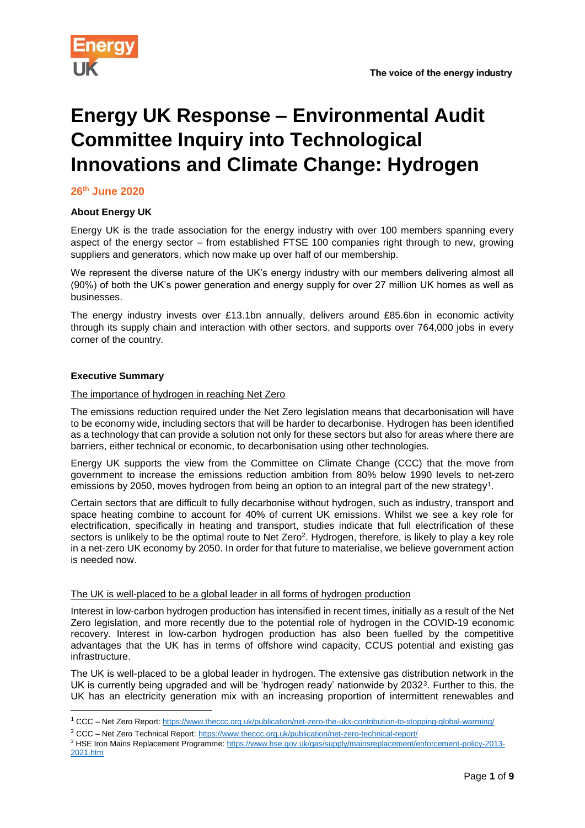

# **Energy UK Response – Environmental Audit Committee Inquiry into Technological Innovations and Climate Change: Hydrogen**

**26th June 2020**

# **About Energy UK**

Energy UK is the trade association for the energy industry with over 100 members spanning every aspect of the energy sector – from established FTSE 100 companies right through to new, growing suppliers and generators, which now make up over half of our membership.

We represent the diverse nature of the UK's energy industry with our members delivering almost all (90%) of both the UK's power generation and energy supply for over 27 million UK homes as well as businesses.

The energy industry invests over £13.1bn annually, delivers around £85.6bn in economic activity through its supply chain and interaction with other sectors, and supports over 764,000 jobs in every corner of the country.

### **Executive Summary**

-

# The importance of hydrogen in reaching Net Zero

The emissions reduction required under the Net Zero legislation means that decarbonisation will have to be economy wide, including sectors that will be harder to decarbonise. Hydrogen has been identified as a technology that can provide a solution not only for these sectors but also for areas where there are barriers, either technical or economic, to decarbonisation using other technologies.

Energy UK supports the view from the Committee on Climate Change (CCC) that the move from government to increase the emissions reduction ambition from 80% below 1990 levels to net-zero emissions by 2050, moves hydrogen from being an option to an integral part of the new strategy<sup>1</sup>.

<span id="page-0-1"></span><span id="page-0-0"></span>Certain sectors that are difficult to fully decarbonise without hydrogen, such as industry, transport and space heating combine to account for 40% of current UK emissions. Whilst we see a key role for electrification, specifically in heating and transport, studies indicate that full electrification of these sectors is unlikely to be the optimal route to Net Zero<sup>2</sup>. Hydrogen, therefore, is likely to play a key role in a net-zero UK economy by 2050. In order for that future to materialise, we believe government action is needed now.

### The UK is well-placed to be a global leader in all forms of hydrogen production

Interest in low-carbon hydrogen production has intensified in recent times, initially as a result of the Net Zero legislation, and more recently due to the potential role of hydrogen in the COVID-19 economic recovery. Interest in low-carbon hydrogen production has also been fuelled by the competitive advantages that the UK has in terms of offshore wind capacity, CCUS potential and existing gas infrastructure.

The UK is well-placed to be a global leader in hydrogen. The extensive gas distribution network in the UK is currently being upgraded and will be 'hydrogen ready' nationwide by 2032<sup>3</sup>. Further to this, the UK has an electricity generation mix with an increasing proportion of intermittent renewables and

<sup>1</sup> CCC – Net Zero Report[: https://www.theccc.org.uk/publication/net-zero-the-uks-contribution-to-stopping-global-warming/](https://www.theccc.org.uk/publication/net-zero-the-uks-contribution-to-stopping-global-warming/)

<sup>&</sup>lt;sup>2</sup> CCC – Net Zero Technical Report:<https://www.theccc.org.uk/publication/net-zero-technical-report/>

<sup>3</sup> HSE Iron Mains Replacement Programme: [https://www.hse.gov.uk/gas/supply/mainsreplacement/enforcement-policy-2013-](https://www.hse.gov.uk/gas/supply/mainsreplacement/enforcement-policy-2013-2021.htm) [2021.htm](https://www.hse.gov.uk/gas/supply/mainsreplacement/enforcement-policy-2013-2021.htm)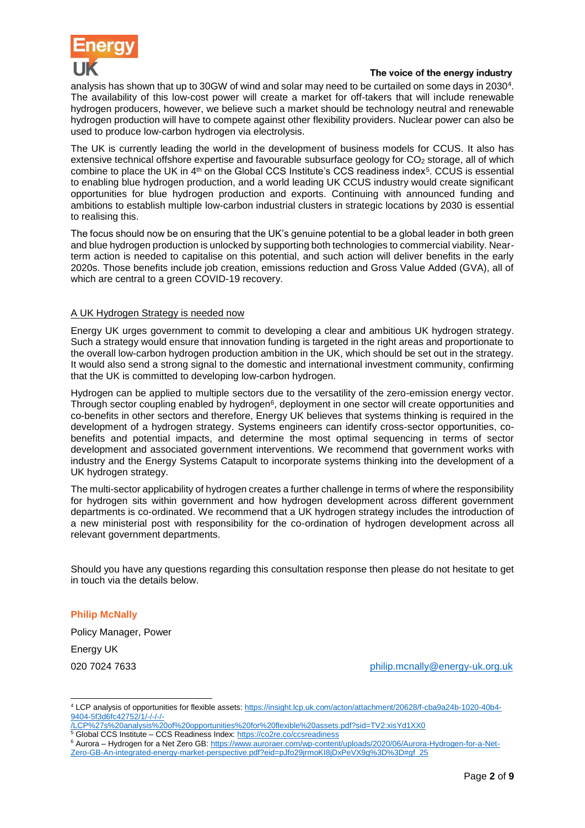

### The voice of the energy industry

analysis has shown that up to 30GW of wind and solar may need to be curtailed on some days in 2030<sup>4</sup> . The availability of this low-cost power will create a market for off-takers that will include renewable hydrogen producers, however, we believe such a market should be technology neutral and renewable hydrogen production will have to compete against other flexibility providers. Nuclear power can also be used to produce low-carbon hydrogen via electrolysis.

The UK is currently leading the world in the development of business models for CCUS. It also has extensive technical offshore expertise and favourable subsurface geology for CO<sub>2</sub> storage, all of which combine to place the UK in  $4<sup>th</sup>$  on the Global CCS Institute's CCS readiness index<sup>5</sup>. CCUS is essential to enabling blue hydrogen production, and a world leading UK CCUS industry would create significant opportunities for blue hydrogen production and exports. Continuing with announced funding and ambitions to establish multiple low-carbon industrial clusters in strategic locations by 2030 is essential to realising this.

The focus should now be on ensuring that the UK's genuine potential to be a global leader in both green and blue hydrogen production is unlocked by supporting both technologies to commercial viability. Nearterm action is needed to capitalise on this potential, and such action will deliver benefits in the early 2020s. Those benefits include job creation, emissions reduction and Gross Value Added (GVA), all of which are central to a green COVID-19 recovery.

# A UK Hydrogen Strategy is needed now

Energy UK urges government to commit to developing a clear and ambitious UK hydrogen strategy. Such a strategy would ensure that innovation funding is targeted in the right areas and proportionate to the overall low-carbon hydrogen production ambition in the UK, which should be set out in the strategy. It would also send a strong signal to the domestic and international investment community, confirming that the UK is committed to developing low-carbon hydrogen.

Hydrogen can be applied to multiple sectors due to the versatility of the zero-emission energy vector. Through sector coupling enabled by hydrogen $6$ , deployment in one sector will create opportunities and co-benefits in other sectors and therefore, Energy UK believes that systems thinking is required in the development of a hydrogen strategy. Systems engineers can identify cross-sector opportunities, cobenefits and potential impacts, and determine the most optimal sequencing in terms of sector development and associated government interventions. We recommend that government works with industry and the Energy Systems Catapult to incorporate systems thinking into the development of a UK hydrogen strategy.

The multi-sector applicability of hydrogen creates a further challenge in terms of where the responsibility for hydrogen sits within government and how hydrogen development across different government departments is co-ordinated. We recommend that a UK hydrogen strategy includes the introduction of a new ministerial post with responsibility for the co-ordination of hydrogen development across all relevant government departments.

Should you have any questions regarding this consultation response then please do not hesitate to get in touch via the details below.

# **Philip McNally**

Policy Manager, Power Energy UK

-

020 7024 7633 **[philip.mcnally@energy-uk.org.uk](mailto:philip.mcnally@energy-uk.org.uk)** by the philip of the philip.mcnally@energy-uk.org.uk

<sup>4</sup> LCP analysis of opportunities for flexible assets: [https://insight.lcp.uk.com/acton/attachment/20628/f-cba9a24b-1020-40b4-](https://insight.lcp.uk.com/acton/attachment/20628/f-cba9a24b-1020-40b4-9404-5f3d6fc42752/1/-/-/-/-/LCP%27s%20analysis%20of%20opportunities%20for%20flexible%20assets.pdf?sid=TV2:xisYd1XX0) [9404-5f3d6fc42752/1/-/-/-/-](https://insight.lcp.uk.com/acton/attachment/20628/f-cba9a24b-1020-40b4-9404-5f3d6fc42752/1/-/-/-/-/LCP%27s%20analysis%20of%20opportunities%20for%20flexible%20assets.pdf?sid=TV2:xisYd1XX0)

[<sup>/</sup>LCP%27s%20analysis%20of%20opportunities%20for%20flexible%20assets.pdf?sid=TV2:xisYd1XX0](https://insight.lcp.uk.com/acton/attachment/20628/f-cba9a24b-1020-40b4-9404-5f3d6fc42752/1/-/-/-/-/LCP%27s%20analysis%20of%20opportunities%20for%20flexible%20assets.pdf?sid=TV2:xisYd1XX0) <sup>5</sup> Global CCS Institute – CCS Readiness Index[: https://co2re.co/ccsreadiness](https://co2re.co/ccsreadiness)

<sup>6</sup> Aurora – Hydrogen for a Net Zero GB[: https://www.auroraer.com/wp-content/uploads/2020/06/Aurora-Hydrogen-for-a-Net-](https://www.auroraer.com/wp-content/uploads/2020/06/Aurora-Hydrogen-for-a-Net-Zero-GB-An-integrated-energy-market-perspective.pdf?eid=pJfo29jrmoKI8jDxPeVX9g%3D%3D#gf_25)[Zero-GB-An-integrated-energy-market-perspective.pdf?eid=pJfo29jrmoKI8jDxPeVX9g%3D%3D#gf\\_25](https://www.auroraer.com/wp-content/uploads/2020/06/Aurora-Hydrogen-for-a-Net-Zero-GB-An-integrated-energy-market-perspective.pdf?eid=pJfo29jrmoKI8jDxPeVX9g%3D%3D#gf_25)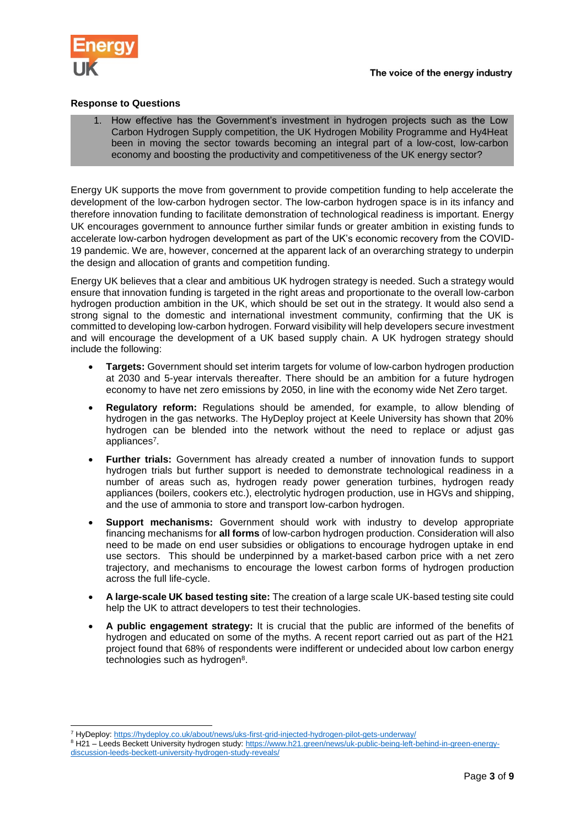

## **Response to Questions**

1. How effective has the Government's investment in hydrogen projects such as the Low Carbon Hydrogen Supply competition, the UK Hydrogen Mobility Programme and Hy4Heat been in moving the sector towards becoming an integral part of a low-cost, low-carbon economy and boosting the productivity and competitiveness of the UK energy sector?

Energy UK supports the move from government to provide competition funding to help accelerate the development of the low-carbon hydrogen sector. The low-carbon hydrogen space is in its infancy and therefore innovation funding to facilitate demonstration of technological readiness is important. Energy UK encourages government to announce further similar funds or greater ambition in existing funds to accelerate low-carbon hydrogen development as part of the UK's economic recovery from the COVID-19 pandemic. We are, however, concerned at the apparent lack of an overarching strategy to underpin the design and allocation of grants and competition funding.

Energy UK believes that a clear and ambitious UK hydrogen strategy is needed. Such a strategy would ensure that innovation funding is targeted in the right areas and proportionate to the overall low-carbon hydrogen production ambition in the UK, which should be set out in the strategy. It would also send a strong signal to the domestic and international investment community, confirming that the UK is committed to developing low-carbon hydrogen. Forward visibility will help developers secure investment and will encourage the development of a UK based supply chain. A UK hydrogen strategy should include the following:

- **Targets:** Government should set interim targets for volume of low-carbon hydrogen production at 2030 and 5-year intervals thereafter. There should be an ambition for a future hydrogen economy to have net zero emissions by 2050, in line with the economy wide Net Zero target.
- **Regulatory reform:** Regulations should be amended, for example, to allow blending of hydrogen in the gas networks. The HyDeploy project at Keele University has shown that 20% hydrogen can be blended into the network without the need to replace or adjust gas appliances<sup>7</sup>.
- **Further trials:** Government has already created a number of innovation funds to support hydrogen trials but further support is needed to demonstrate technological readiness in a number of areas such as, hydrogen ready power generation turbines, hydrogen ready appliances (boilers, cookers etc.), electrolytic hydrogen production, use in HGVs and shipping, and the use of ammonia to store and transport low-carbon hydrogen.
- **Support mechanisms:** Government should work with industry to develop appropriate financing mechanisms for **all forms** of low-carbon hydrogen production. Consideration will also need to be made on end user subsidies or obligations to encourage hydrogen uptake in end use sectors. This should be underpinned by a market-based carbon price with a net zero trajectory, and mechanisms to encourage the lowest carbon forms of hydrogen production across the full life-cycle.
- **A large-scale UK based testing site:** The creation of a large scale UK-based testing site could help the UK to attract developers to test their technologies.
- <span id="page-2-0"></span> **A public engagement strategy:** It is crucial that the public are informed of the benefits of hydrogen and educated on some of the myths. A recent report carried out as part of the H21 project found that 68% of respondents were indifferent or undecided about low carbon energy technologies such as hydrogen<sup>8</sup>.

<sup>1</sup> <sup>7</sup> HyDeploy:<https://hydeploy.co.uk/about/news/uks-first-grid-injected-hydrogen-pilot-gets-underway/>

<sup>8</sup> H21 – Leeds Beckett University hydrogen study: [https://www.h21.green/news/uk-public-being-left-behind-in-green-energy](https://www.h21.green/news/uk-public-being-left-behind-in-green-energy-discussion-leeds-beckett-university-hydrogen-study-reveals/)[discussion-leeds-beckett-university-hydrogen-study-reveals/](https://www.h21.green/news/uk-public-being-left-behind-in-green-energy-discussion-leeds-beckett-university-hydrogen-study-reveals/)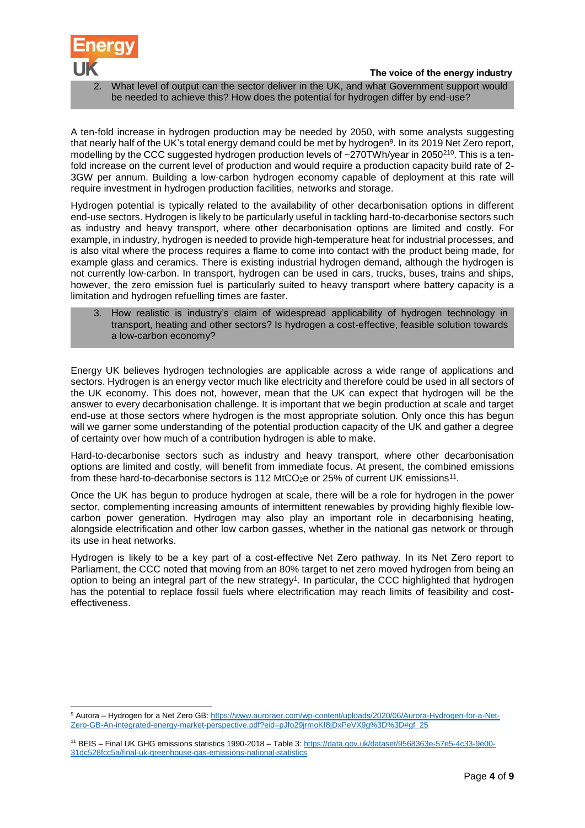

-

2. What level of output can the sector deliver in the UK, and what Government support would be needed to achieve this? How does the potential for hydrogen differ by end-use?

A ten-fold increase in hydrogen production may be needed by 2050, with some analysts suggesting that nearly half of the UK's total energy demand could be met by hydrogen<sup>9</sup>. In its 2019 Net Zero report, modelling by the CCC suggested hydrogen production levels of ~270TWh/year in 2050<sup>[21](#page-0-0)0</sup>. This is a tenfold increase on the current level of production and would require a production capacity build rate of 2- 3GW per annum. Building a low-carbon hydrogen economy capable of deployment at this rate will require investment in hydrogen production facilities, networks and storage.

Hydrogen potential is typically related to the availability of other decarbonisation options in different end-use sectors. Hydrogen is likely to be particularly useful in tackling hard-to-decarbonise sectors such as industry and heavy transport, where other decarbonisation options are limited and costly. For example, in industry, hydrogen is needed to provide high-temperature heat for industrial processes, and is also vital where the process requires a flame to come into contact with the product being made, for example glass and ceramics. There is existing industrial hydrogen demand, although the hydrogen is not currently low-carbon. In transport, hydrogen can be used in cars, trucks, buses, trains and ships, however, the zero emission fuel is particularly suited to heavy transport where battery capacity is a limitation and hydrogen refuelling times are faster.

3. How realistic is industry's claim of widespread applicability of hydrogen technology in transport, heating and other sectors? Is hydrogen a cost-effective, feasible solution towards a low-carbon economy?

Energy UK believes hydrogen technologies are applicable across a wide range of applications and sectors. Hydrogen is an energy vector much like electricity and therefore could be used in all sectors of the UK economy. This does not, however, mean that the UK can expect that hydrogen will be the answer to every decarbonisation challenge. It is important that we begin production at scale and target end-use at those sectors where hydrogen is the most appropriate solution. Only once this has begun will we garner some understanding of the potential production capacity of the UK and gather a degree of certainty over how much of a contribution hydrogen is able to make.

Hard-to-decarbonise sectors such as industry and heavy transport, where other decarbonisation options are limited and costly, will benefit from immediate focus. At present, the combined emissions from these hard-to-decarbonise sectors is 112 MtCO<sub>2</sub>e or 25% of current UK emissions<sup>11</sup>.

Once the UK has begun to produce hydrogen at scale, there will be a role for hydrogen in the power sector, complementing increasing amounts of intermittent renewables by providing highly flexible lowcarbon power generation. Hydrogen may also play an important role in decarbonising heating, alongside electrification and other low carbon gasses, whether in the national gas network or through its use in heat networks.

Hydrogen is likely to be a key part of a cost-effective Net Zero pathway. In its Net Zero report to Parliament, the CCC noted that moving from an 80% target to net zero moved hydrogen from being an option to being an integral part of the new strategy<sup>[1](#page-0-1)</sup>. In particular, the CCC highlighted that hydrogen has the potential to replace fossil fuels where electrification may reach limits of feasibility and costeffectiveness.

<sup>9</sup> Aurora – Hydrogen for a Net Zero GB[: https://www.auroraer.com/wp-content/uploads/2020/06/Aurora-Hydrogen-for-a-Net-](https://www.auroraer.com/wp-content/uploads/2020/06/Aurora-Hydrogen-for-a-Net-Zero-GB-An-integrated-energy-market-perspective.pdf?eid=pJfo29jrmoKI8jDxPeVX9g%3D%3D#gf_25)[Zero-GB-An-integrated-energy-market-perspective.pdf?eid=pJfo29jrmoKI8jDxPeVX9g%3D%3D#gf\\_25](https://www.auroraer.com/wp-content/uploads/2020/06/Aurora-Hydrogen-for-a-Net-Zero-GB-An-integrated-energy-market-perspective.pdf?eid=pJfo29jrmoKI8jDxPeVX9g%3D%3D#gf_25)

<sup>11</sup> BEIS – Final UK GHG emissions statistics 1990-2018 – Table 3[: https://data.gov.uk/dataset/9568363e-57e5-4c33-9e00-](https://data.gov.uk/dataset/9568363e-57e5-4c33-9e00-31dc528fcc5a/final-uk-greenhouse-gas-emissions-national-statistics) [31dc528fcc5a/final-uk-greenhouse-gas-emissions-national-statistics](https://data.gov.uk/dataset/9568363e-57e5-4c33-9e00-31dc528fcc5a/final-uk-greenhouse-gas-emissions-national-statistics)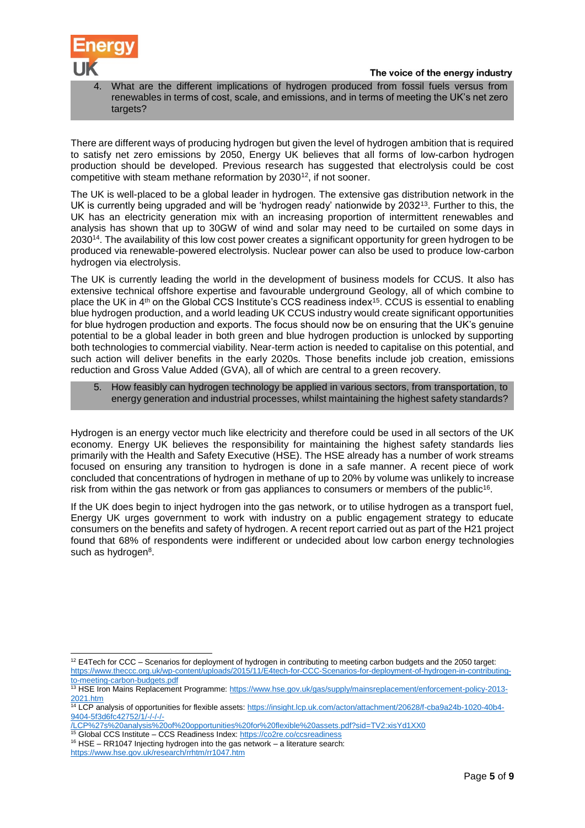

What are the different implications of hydrogen produced from fossil fuels versus from renewables in terms of cost, scale, and emissions, and in terms of meeting the UK's net zero targets?

There are different ways of producing hydrogen but given the level of hydrogen ambition that is required to satisfy net zero emissions by 2050, Energy UK believes that all forms of low-carbon hydrogen production should be developed. Previous research has suggested that electrolysis could be cost competitive with steam methane reformation by 2030<sup>12</sup>, if not sooner.

The UK is well-placed to be a global leader in hydrogen. The extensive gas distribution network in the UK is currently being upgraded and will be 'hydrogen ready' nationwide by 2032<sup>13</sup>. Further to this, the UK has an electricity generation mix with an increasing proportion of intermittent renewables and analysis has shown that up to 30GW of wind and solar may need to be curtailed on some days in 2030<sup>14</sup>. The availability of this low cost power creates a significant opportunity for green hydrogen to be produced via renewable-powered electrolysis. Nuclear power can also be used to produce low-carbon hydrogen via electrolysis.

The UK is currently leading the world in the development of business models for CCUS. It also has extensive technical offshore expertise and favourable underground Geology, all of which combine to place the UK in  $4<sup>th</sup>$  on the Global CCS Institute's CCS readiness index<sup>15</sup>. CCUS is essential to enabling blue hydrogen production, and a world leading UK CCUS industry would create significant opportunities for blue hydrogen production and exports. The focus should now be on ensuring that the UK's genuine potential to be a global leader in both green and blue hydrogen production is unlocked by supporting both technologies to commercial viability. Near-term action is needed to capitalise on this potential, and such action will deliver benefits in the early 2020s. Those benefits include job creation, emissions reduction and Gross Value Added (GVA), all of which are central to a green recovery.

5. How feasibly can hydrogen technology be applied in various sectors, from transportation, to energy generation and industrial processes, whilst maintaining the highest safety standards?

Hydrogen is an energy vector much like electricity and therefore could be used in all sectors of the UK economy. Energy UK believes the responsibility for maintaining the highest safety standards lies primarily with the Health and Safety Executive (HSE). The HSE already has a number of work streams focused on ensuring any transition to hydrogen is done in a safe manner. A recent piece of work concluded that concentrations of hydrogen in methane of up to 20% by volume was unlikely to increase risk from within the gas network or from gas appliances to consumers or members of the public<sup>16</sup>.

If the UK does begin to inject hydrogen into the gas network, or to utilise hydrogen as a transport fuel, Energy UK urges government to work with industry on a public engagement strategy to educate consumers on the benefits and safety of hydrogen. A recent report carried out as part of the H21 project found that 68% of respondents were indifferent or undecided about low carbon energy technologies such as hydrogen<sup>8</sup>[.](#page-2-0)

<sup>1</sup>  $12$  E4Tech for CCC – Scenarios for deployment of hydrogen in contributing to meeting carbon budgets and the 2050 target: [https://www.theccc.org.uk/wp-content/uploads/2015/11/E4tech-for-CCC-Scenarios-for-deployment-of-hydrogen-in-contributing](https://www.theccc.org.uk/wp-content/uploads/2015/11/E4tech-for-CCC-Scenarios-for-deployment-of-hydrogen-in-contributing-to-meeting-carbon-budgets.pdf)[to-meeting-carbon-budgets.pdf](https://www.theccc.org.uk/wp-content/uploads/2015/11/E4tech-for-CCC-Scenarios-for-deployment-of-hydrogen-in-contributing-to-meeting-carbon-budgets.pdf)

<sup>13</sup> HSE Iron Mains Replacement Programme[: https://www.hse.gov.uk/gas/supply/mainsreplacement/enforcement-policy-2013-](https://www.hse.gov.uk/gas/supply/mainsreplacement/enforcement-policy-2013-2021.htm) [2021.htm](https://www.hse.gov.uk/gas/supply/mainsreplacement/enforcement-policy-2013-2021.htm)

<sup>14</sup> LCP analysis of opportunities for flexible assets: [https://insight.lcp.uk.com/acton/attachment/20628/f-cba9a24b-1020-40b4-](https://insight.lcp.uk.com/acton/attachment/20628/f-cba9a24b-1020-40b4-9404-5f3d6fc42752/1/-/-/-/-/LCP%27s%20analysis%20of%20opportunities%20for%20flexible%20assets.pdf?sid=TV2:xisYd1XX0) [9404-5f3d6fc42752/1/-/-/-/-](https://insight.lcp.uk.com/acton/attachment/20628/f-cba9a24b-1020-40b4-9404-5f3d6fc42752/1/-/-/-/-/LCP%27s%20analysis%20of%20opportunities%20for%20flexible%20assets.pdf?sid=TV2:xisYd1XX0)

[<sup>/</sup>LCP%27s%20analysis%20of%20opportunities%20for%20flexible%20assets.pdf?sid=TV2:xisYd1XX0](https://insight.lcp.uk.com/acton/attachment/20628/f-cba9a24b-1020-40b4-9404-5f3d6fc42752/1/-/-/-/-/LCP%27s%20analysis%20of%20opportunities%20for%20flexible%20assets.pdf?sid=TV2:xisYd1XX0)

<sup>&</sup>lt;sup>15</sup> Global CCS Institute – CCS Readiness Index:<https://co2re.co/ccsreadiness> <sup>16</sup> HSE – RR1047 Injecting hydrogen into the gas network – a literature search:

<https://www.hse.gov.uk/research/rrhtm/rr1047.htm>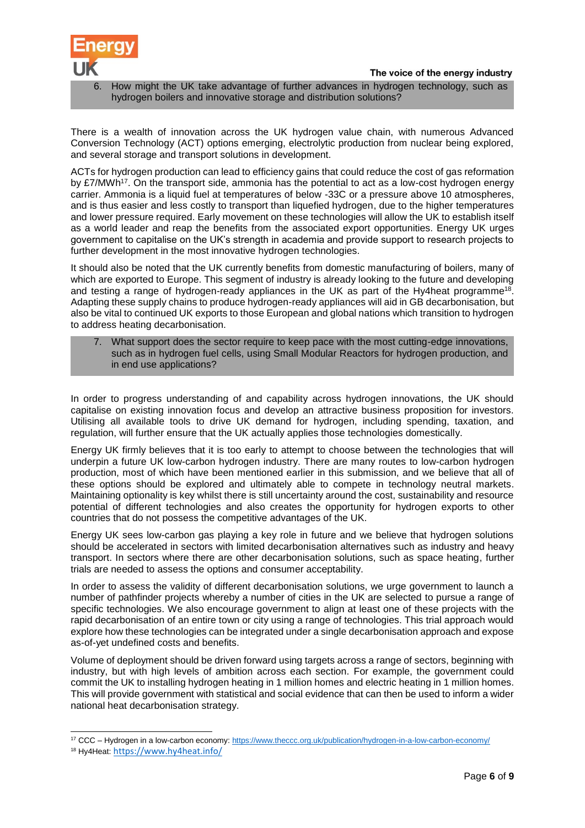

6. How might the UK take advantage of further advances in hydrogen technology, such as hydrogen boilers and innovative storage and distribution solutions?

There is a wealth of innovation across the UK hydrogen value chain, with numerous Advanced Conversion Technology (ACT) options emerging, electrolytic production from nuclear being explored, and several storage and transport solutions in development.

ACTs for hydrogen production can lead to efficiency gains that could reduce the cost of gas reformation by £7/MWh<sup>17</sup>. On the transport side, ammonia has the potential to act as a low-cost hydrogen energy carrier. Ammonia is a liquid fuel at temperatures of below -33C or a pressure above 10 atmospheres, and is thus easier and less costly to transport than liquefied hydrogen, due to the higher temperatures and lower pressure required. Early movement on these technologies will allow the UK to establish itself as a world leader and reap the benefits from the associated export opportunities. Energy UK urges government to capitalise on the UK's strength in academia and provide support to research projects to further development in the most innovative hydrogen technologies.

It should also be noted that the UK currently benefits from domestic manufacturing of boilers, many of which are exported to Europe. This segment of industry is already looking to the future and developing and testing a range of hydrogen-ready appliances in the UK as part of the Hy4heat programme<sup>18</sup>. Adapting these supply chains to produce hydrogen-ready appliances will aid in GB decarbonisation, but also be vital to continued UK exports to those European and global nations which transition to hydrogen to address heating decarbonisation.

7. What support does the sector require to keep pace with the most cutting-edge innovations, such as in hydrogen fuel cells, using Small Modular Reactors for hydrogen production, and in end use applications?

In order to progress understanding of and capability across hydrogen innovations, the UK should capitalise on existing innovation focus and develop an attractive business proposition for investors. Utilising all available tools to drive UK demand for hydrogen, including spending, taxation, and regulation, will further ensure that the UK actually applies those technologies domestically.

Energy UK firmly believes that it is too early to attempt to choose between the technologies that will underpin a future UK low-carbon hydrogen industry. There are many routes to low-carbon hydrogen production, most of which have been mentioned earlier in this submission, and we believe that all of these options should be explored and ultimately able to compete in technology neutral markets. Maintaining optionality is key whilst there is still uncertainty around the cost, sustainability and resource potential of different technologies and also creates the opportunity for hydrogen exports to other countries that do not possess the competitive advantages of the UK.

Energy UK sees low-carbon gas playing a key role in future and we believe that hydrogen solutions should be accelerated in sectors with limited decarbonisation alternatives such as industry and heavy transport. In sectors where there are other decarbonisation solutions, such as space heating, further trials are needed to assess the options and consumer acceptability.

In order to assess the validity of different decarbonisation solutions, we urge government to launch a number of pathfinder projects whereby a number of cities in the UK are selected to pursue a range of specific technologies. We also encourage government to align at least one of these projects with the rapid decarbonisation of an entire town or city using a range of technologies. This trial approach would explore how these technologies can be integrated under a single decarbonisation approach and expose as-of-yet undefined costs and benefits.

Volume of deployment should be driven forward using targets across a range of sectors, beginning with industry, but with high levels of ambition across each section. For example, the government could commit the UK to installing hydrogen heating in 1 million homes and electric heating in 1 million homes. This will provide government with statistical and social evidence that can then be used to inform a wider national heat decarbonisation strategy.

<sup>1</sup> <sup>17</sup> CCC – Hydrogen in a low-carbon economy[: https://www.theccc.org.uk/publication/hydrogen-in-a-low-carbon-economy/](https://www.theccc.org.uk/publication/hydrogen-in-a-low-carbon-economy/)

<sup>18</sup> Hy4Heat: <https://www.hy4heat.info/>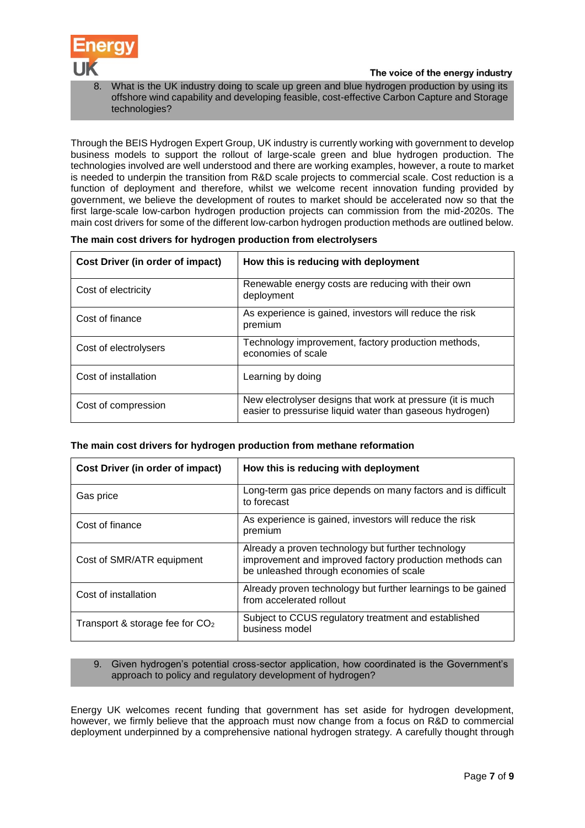

What is the UK industry doing to scale up green and blue hydrogen production by using its offshore wind capability and developing feasible, cost-effective Carbon Capture and Storage technologies?

Through the BEIS Hydrogen Expert Group, UK industry is currently working with government to develop business models to support the rollout of large-scale green and blue hydrogen production. The technologies involved are well understood and there are working examples, however, a route to market is needed to underpin the transition from R&D scale projects to commercial scale. Cost reduction is a function of deployment and therefore, whilst we welcome recent innovation funding provided by government, we believe the development of routes to market should be accelerated now so that the first large-scale low-carbon hydrogen production projects can commission from the mid-2020s. The main cost drivers for some of the different low-carbon hydrogen production methods are outlined below.

| Cost Driver (in order of impact) | How this is reducing with deployment                                                                                   |
|----------------------------------|------------------------------------------------------------------------------------------------------------------------|
| Cost of electricity              | Renewable energy costs are reducing with their own<br>deployment                                                       |
| Cost of finance                  | As experience is gained, investors will reduce the risk<br>premium                                                     |
| Cost of electrolysers            | Technology improvement, factory production methods,<br>economies of scale                                              |
| Cost of installation             | Learning by doing                                                                                                      |
| Cost of compression              | New electrolyser designs that work at pressure (it is much<br>easier to pressurise liquid water than gaseous hydrogen) |

#### **The main cost drivers for hydrogen production from electrolysers**

## **The main cost drivers for hydrogen production from methane reformation**

| Cost Driver (in order of impact)  | How this is reducing with deployment                                                                                                                     |
|-----------------------------------|----------------------------------------------------------------------------------------------------------------------------------------------------------|
| Gas price                         | Long-term gas price depends on many factors and is difficult<br>to forecast                                                                              |
| Cost of finance                   | As experience is gained, investors will reduce the risk<br>premium                                                                                       |
| Cost of SMR/ATR equipment         | Already a proven technology but further technology<br>improvement and improved factory production methods can<br>be unleashed through economies of scale |
| Cost of installation              | Already proven technology but further learnings to be gained<br>from accelerated rollout                                                                 |
| Transport & storage fee for $CO2$ | Subject to CCUS regulatory treatment and established<br>business model                                                                                   |

### 9. Given hydrogen's potential cross-sector application, how coordinated is the Government's approach to policy and regulatory development of hydrogen?

Energy UK welcomes recent funding that government has set aside for hydrogen development, however, we firmly believe that the approach must now change from a focus on R&D to commercial deployment underpinned by a comprehensive national hydrogen strategy. A carefully thought through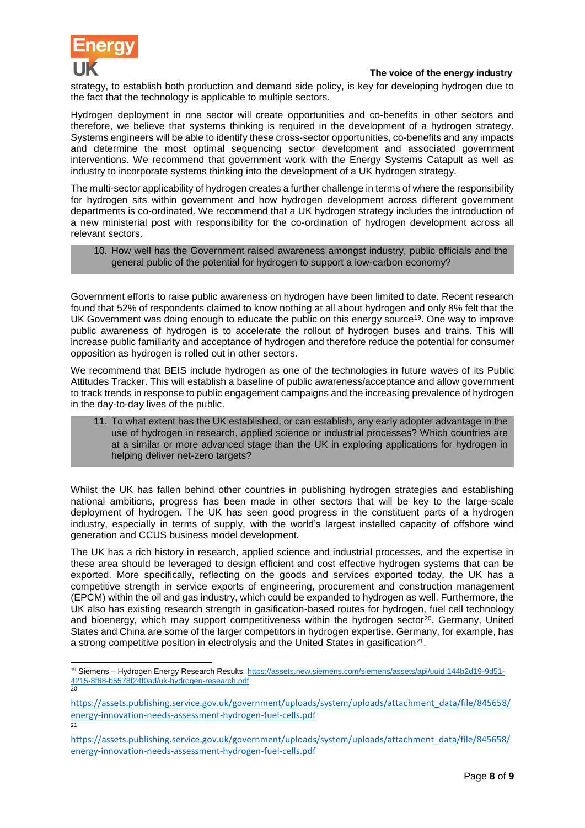

-

## The voice of the energy industry

strategy, to establish both production and demand side policy, is key for developing hydrogen due to the fact that the technology is applicable to multiple sectors.

Hydrogen deployment in one sector will create opportunities and co-benefits in other sectors and therefore, we believe that systems thinking is required in the development of a hydrogen strategy. Systems engineers will be able to identify these cross-sector opportunities, co-benefits and any impacts and determine the most optimal sequencing sector development and associated government interventions. We recommend that government work with the Energy Systems Catapult as well as industry to incorporate systems thinking into the development of a UK hydrogen strategy.

The multi-sector applicability of hydrogen creates a further challenge in terms of where the responsibility for hydrogen sits within government and how hydrogen development across different government departments is co-ordinated. We recommend that a UK hydrogen strategy includes the introduction of a new ministerial post with responsibility for the co-ordination of hydrogen development across all relevant sectors.

10. How well has the Government raised awareness amongst industry, public officials and the general public of the potential for hydrogen to support a low-carbon economy?

Government efforts to raise public awareness on hydrogen have been limited to date. Recent research found that 52% of respondents claimed to know nothing at all about hydrogen and only 8% felt that the UK Government was doing enough to educate the public on this energy source<sup>19</sup>. One way to improve public awareness of hydrogen is to accelerate the rollout of hydrogen buses and trains. This will increase public familiarity and acceptance of hydrogen and therefore reduce the potential for consumer opposition as hydrogen is rolled out in other sectors.

We recommend that BEIS include hydrogen as one of the technologies in future waves of its Public Attitudes Tracker. This will establish a baseline of public awareness/acceptance and allow government to track trends in response to public engagement campaigns and the increasing prevalence of hydrogen in the day-to-day lives of the public.

11. To what extent has the UK established, or can establish, any early adopter advantage in the use of hydrogen in research, applied science or industrial processes? Which countries are at a similar or more advanced stage than the UK in exploring applications for hydrogen in helping deliver net-zero targets?

Whilst the UK has fallen behind other countries in publishing hydrogen strategies and establishing national ambitions, progress has been made in other sectors that will be key to the large-scale deployment of hydrogen. The UK has seen good progress in the constituent parts of a hydrogen industry, especially in terms of supply, with the world's largest installed capacity of offshore wind generation and CCUS business model development.

The UK has a rich history in research, applied science and industrial processes, and the expertise in these area should be leveraged to design efficient and cost effective hydrogen systems that can be exported. More specifically, reflecting on the goods and services exported today, the UK has a competitive strength in service exports of engineering, procurement and construction management (EPCM) within the oil and gas industry, which could be expanded to hydrogen as well. Furthermore, the UK also has existing research strength in gasification-based routes for hydrogen, fuel cell technology and bioenergy, which may support competitiveness within the hydrogen sector<sup>20</sup>. Germany, United States and China are some of the larger competitors in hydrogen expertise. Germany, for example, has a strong competitive position in electrolysis and the United States in gasification<sup>21</sup>.

<sup>19</sup> Siemens – Hydrogen Energy Research Results: [https://assets.new.siemens.com/siemens/assets/api/uuid:144b2d19-9d51-](https://assets.new.siemens.com/siemens/assets/api/uuid:144b2d19-9d51-4215-8f68-b5578f24f0ad/uk-hydrogen-research.pdf) [4215-8f68-b5578f24f0ad/uk-hydrogen-research.pdf](https://assets.new.siemens.com/siemens/assets/api/uuid:144b2d19-9d51-4215-8f68-b5578f24f0ad/uk-hydrogen-research.pdf)  $\overline{20}$ 

[https://assets.publishing.service.gov.uk/government/uploads/system/uploads/attachment\\_data/file/845658/](https://assets.publishing.service.gov.uk/government/uploads/system/uploads/attachment_data/file/845658/energy-innovation-needs-assessment-hydrogen-fuel-cells.pdf) [energy-innovation-needs-assessment-hydrogen-fuel-cells.pdf](https://assets.publishing.service.gov.uk/government/uploads/system/uploads/attachment_data/file/845658/energy-innovation-needs-assessment-hydrogen-fuel-cells.pdf)  $\overline{21}$ 

[https://assets.publishing.service.gov.uk/government/uploads/system/uploads/attachment\\_data/file/845658/](https://assets.publishing.service.gov.uk/government/uploads/system/uploads/attachment_data/file/845658/energy-innovation-needs-assessment-hydrogen-fuel-cells.pdf) [energy-innovation-needs-assessment-hydrogen-fuel-cells.pdf](https://assets.publishing.service.gov.uk/government/uploads/system/uploads/attachment_data/file/845658/energy-innovation-needs-assessment-hydrogen-fuel-cells.pdf)